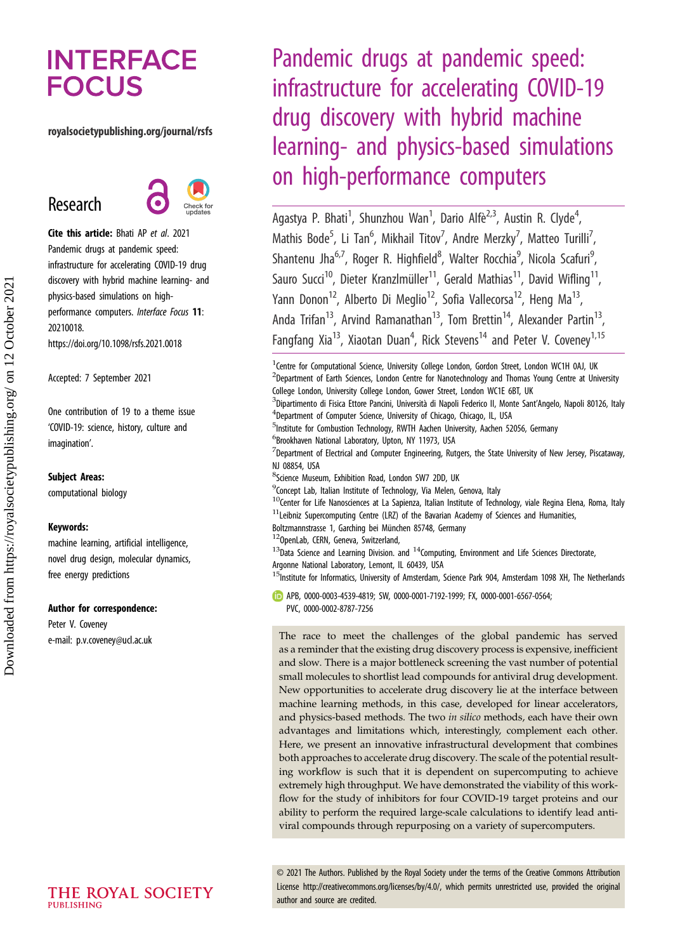# **INTERFACE FOCUS**

### royalsocietypublishing.org/journal/rsfs

Research



Cite this article: Bhati AP et al. 2021 Pandemic drugs at pandemic speed: infrastructure for accelerating COVID-19 drug discovery with hybrid machine learning- and physics-based simulations on highperformance computers. Interface Focus 11: 20210018. https://doi.org/10.1098/rsfs.2021.0018

Accepted: 7 September 2021

One contribution of 19 to a theme issue 'COVID-19: science, history, culture and imagination'.

### Subject Areas:

computational biology

### Keywords:

machine learning, artificial intelligence, novel drug design, molecular dynamics, free energy predictions

### Author for correspondence:

Peter V. Coveney e-mail: [p.v.coveney@ucl.ac.uk](mailto:p.v.coveney@ucl.ac.uk)

Pandemic drugs at pandemic speed: infrastructure for accelerating COVID-19 drug discovery with hybrid machine learning- and physics-based simulations on high-performance computers

Agastya P. Bhati<sup>1</sup>, Shunzhou Wan<sup>1</sup>, Dario Alfè<sup>2,3</sup>, Austin R. Clyde<sup>4</sup> .<br>, Mathis Bode<sup>5</sup>, Li Tan<sup>6</sup>, Mikhail Titov<sup>7</sup>, Andre Merzky<sup>7</sup>, Matteo Turilli<sup>7</sup> , Shantenu Jha<sup>6,7</sup>, Roger R. Highfield<sup>8</sup>, Walter Rocchia<sup>9</sup>, Nicola Scafuri<sup>9</sup> ,<br>י Sauro Succi<sup>10</sup>, Dieter Kranzlmüller<sup>11</sup>, Gerald Mathias<sup>11</sup>, David Wifling<sup>11</sup>, Yann Donon<sup>12</sup>, Alberto Di Meglio<sup>12</sup>, Sofia Vallecorsa<sup>12</sup>, Heng Ma<sup>13</sup>, Anda Trifan<sup>13</sup>, Arvind Ramanathan<sup>13</sup>, Tom Brettin<sup>14</sup>, Alexander Partin<sup>13</sup> Fangfang Xia<sup>13</sup>, Xiaotan Duan<sup>4</sup>, Rick Stevens<sup>14</sup> and Peter V. Coveney<sup>1,15</sup>

<sup>1</sup>Centre for Computational Science, University College London, Gordon Street, London WC1H 0AJ, UK <sup>2</sup>Department of Earth Sciences, London Centre for Nanotechnology and Thomas Young Centre at University College London, University College London, Gower Street, London WC1E 6BT, UK <sup>3</sup>Dipartimento di Fisica Ettore Pancini, Università di Napoli Federico II, Monte Sant'Angelo, Napoli 80126, Italy <sup>4</sup>Department of Computer Science, University of Chicago, Chicago, IL, USA <sup>5</sup>Institute for Combustion Technology, RWTH Aachen University, Aachen 52056, Germany 6 Brookhaven National Laboratory, Upton, NY 11973, USA  $<sup>7</sup>$ Department of Electrical and Computer Engineering, Rutgers, the State University of New Jersey, Piscataway,</sup> NJ 08854, USA 8 Science Museum, Exhibition Road, London SW7 2DD, UK <sup>9</sup> Concept Lab, Italian Institute of Technology, Via Melen, Genova, Italy  $10$ Center for Life Nanosciences at La Sapienza, Italian Institute of Technology, viale Regina Elena, Roma, Italy  $11$ Leibniz Supercomputing Centre (LRZ) of the Bavarian Academy of Sciences and Humanities, Boltzmannstrasse 1, Garching bei München 85748, Germany <sup>12</sup>OpenLab, CERN, Geneva, Switzerland,  $13$ Data Science and Learning Division. and  $14$ Computing, Environment and Life Sciences Directorate, Argonne National Laboratory, Lemont, IL 60439, USA

15Institute for Informatics, University of Amsterdam, Science Park 904, Amsterdam 1098 XH, The Netherlands

APB, [0000-0003-4539-4819;](http://orcid.org/0000-0003-4539-4819) SW, [0000-0001-7192-1999;](http://orcid.org/0000-0001-7192-1999) FX, [0000-0001-6567-0564;](http://orcid.org/0000-0001-6567-0564) PVC, [0000-0002-8787-7256](http://orcid.org/0000-0002-8787-7256)

The race to meet the challenges of the global pandemic has served as a reminder that the existing drug discovery process is expensive, inefficient and slow. There is a major bottleneck screening the vast number of potential small molecules to shortlist lead compounds for antiviral drug development. New opportunities to accelerate drug discovery lie at the interface between machine learning methods, in this case, developed for linear accelerators, and physics-based methods. The two in silico methods, each have their own advantages and limitations which, interestingly, complement each other. Here, we present an innovative infrastructural development that combines both approaches to accelerate drug discovery. The scale of the potential resulting workflow is such that it is dependent on supercomputing to achieve extremely high throughput. We have demonstrated the viability of this workflow for the study of inhibitors for four COVID-19 target proteins and our ability to perform the required large-scale calculations to identify lead antiviral compounds through repurposing on a variety of supercomputers.

© 2021 The Authors. Published by the Royal Society under the terms of the Creative Commons Attribution License<http://creativecommons.org/licenses/by/4.0/>, which permits unrestricted use, provided the original author and source are credited.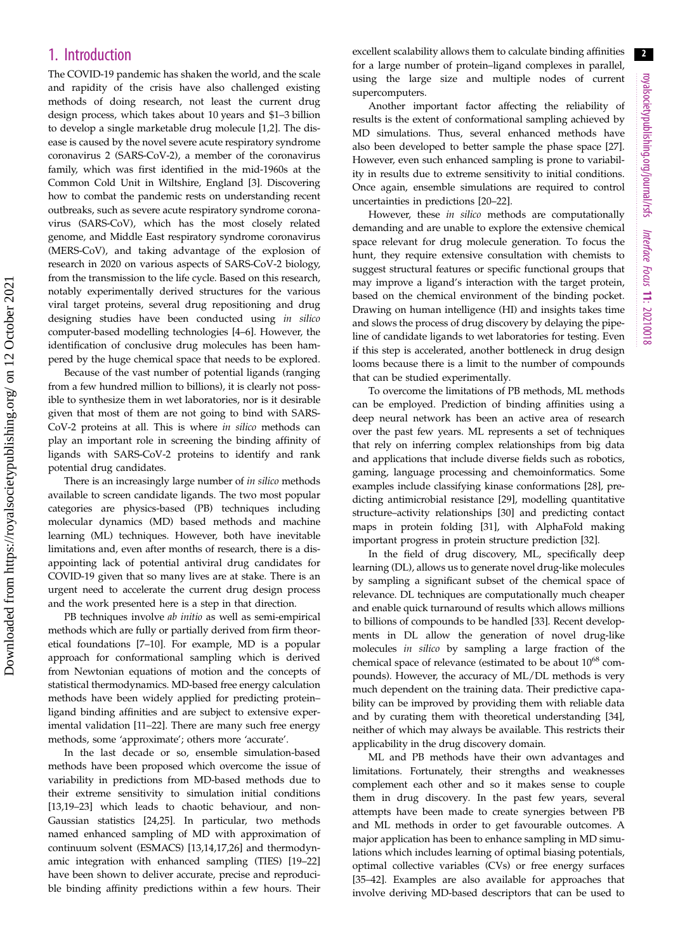# 1. Introduction

The COVID-19 pandemic has shaken the world, and the scale and rapidity of the crisis have also challenged existing methods of doing research, not least the current drug design process, which takes about 10 years and \$1–3 billion to develop a single marketable drug molecule [[1,2\]](#page-9-0). The disease is caused by the novel severe acute respiratory syndrome coronavirus 2 (SARS-CoV-2), a member of the coronavirus family, which was first identified in the mid-1960s at the Common Cold Unit in Wiltshire, England [[3](#page-9-0)]. Discovering how to combat the pandemic rests on understanding recent outbreaks, such as severe acute respiratory syndrome coronavirus (SARS-CoV), which has the most closely related genome, and Middle East respiratory syndrome coronavirus (MERS-CoV), and taking advantage of the explosion of research in 2020 on various aspects of SARS-CoV-2 biology, from the transmission to the life cycle. Based on this research, notably experimentally derived structures for the various viral target proteins, several drug repositioning and drug designing studies have been conducted using in silico computer-based modelling technologies [\[4](#page-9-0)–[6\]](#page-9-0). However, the identification of conclusive drug molecules has been hampered by the huge chemical space that needs to be explored.

Because of the vast number of potential ligands (ranging from a few hundred million to billions), it is clearly not possible to synthesize them in wet laboratories, nor is it desirable given that most of them are not going to bind with SARS-CoV-2 proteins at all. This is where in silico methods can play an important role in screening the binding affinity of ligands with SARS-CoV-2 proteins to identify and rank potential drug candidates.

There is an increasingly large number of in silico methods available to screen candidate ligands. The two most popular categories are physics-based (PB) techniques including molecular dynamics (MD) based methods and machine learning (ML) techniques. However, both have inevitable limitations and, even after months of research, there is a disappointing lack of potential antiviral drug candidates for COVID-19 given that so many lives are at stake. There is an urgent need to accelerate the current drug design process and the work presented here is a step in that direction.

PB techniques involve *ab initio* as well as semi-empirical methods which are fully or partially derived from firm theoretical foundations [[7](#page-9-0)–[10\]](#page-9-0). For example, MD is a popular approach for conformational sampling which is derived from Newtonian equations of motion and the concepts of statistical thermodynamics. MD-based free energy calculation methods have been widely applied for predicting protein– ligand binding affinities and are subject to extensive experimental validation [\[11](#page-9-0)–[22](#page-9-0)]. There are many such free energy methods, some 'approximate'; others more 'accurate'.

In the last decade or so, ensemble simulation-based methods have been proposed which overcome the issue of variability in predictions from MD-based methods due to their extreme sensitivity to simulation initial conditions [\[13](#page-9-0),[19](#page-9-0)–[23](#page-10-0)] which leads to chaotic behaviour, and non-Gaussian statistics [[24,25](#page-10-0)]. In particular, two methods named enhanced sampling of MD with approximation of continuum solvent (ESMACS) [\[13,14](#page-9-0),[17,](#page-9-0)[26\]](#page-10-0) and thermodynamic integration with enhanced sampling (TIES) [\[19](#page-9-0)–[22\]](#page-9-0) have been shown to deliver accurate, precise and reproducible binding affinity predictions within a few hours. Their excellent scalability allows them to calculate binding affinities for a large number of protein–ligand complexes in parallel, using the large size and multiple nodes of current supercomputers.

Another important factor affecting the reliability of results is the extent of conformational sampling achieved by MD simulations. Thus, several enhanced methods have also been developed to better sample the phase space [[27\]](#page-10-0). However, even such enhanced sampling is prone to variability in results due to extreme sensitivity to initial conditions. Once again, ensemble simulations are required to control uncertainties in predictions [[20](#page-9-0)–[22](#page-9-0)].

However, these in silico methods are computationally demanding and are unable to explore the extensive chemical space relevant for drug molecule generation. To focus the hunt, they require extensive consultation with chemists to suggest structural features or specific functional groups that may improve a ligand's interaction with the target protein, based on the chemical environment of the binding pocket. Drawing on human intelligence (HI) and insights takes time and slows the process of drug discovery by delaying the pipeline of candidate ligands to wet laboratories for testing. Even if this step is accelerated, another bottleneck in drug design looms because there is a limit to the number of compounds that can be studied experimentally.

To overcome the limitations of PB methods, ML methods can be employed. Prediction of binding affinities using a deep neural network has been an active area of research over the past few years. ML represents a set of techniques that rely on inferring complex relationships from big data and applications that include diverse fields such as robotics, gaming, language processing and chemoinformatics. Some examples include classifying kinase conformations [[28\]](#page-10-0), predicting antimicrobial resistance [[29\]](#page-10-0), modelling quantitative structure–activity relationships [\[30](#page-10-0)] and predicting contact maps in protein folding [[31\]](#page-10-0), with AlphaFold making important progress in protein structure prediction [[32\]](#page-10-0).

In the field of drug discovery, ML, specifically deep learning (DL), allows us to generate novel drug-like molecules by sampling a significant subset of the chemical space of relevance. DL techniques are computationally much cheaper and enable quick turnaround of results which allows millions to billions of compounds to be handled [[33\]](#page-10-0). Recent developments in DL allow the generation of novel drug-like molecules in silico by sampling a large fraction of the chemical space of relevance (estimated to be about  $10^{68}$  compounds). However, the accuracy of ML/DL methods is very much dependent on the training data. Their predictive capability can be improved by providing them with reliable data and by curating them with theoretical understanding [[34\]](#page-10-0), neither of which may always be available. This restricts their applicability in the drug discovery domain.

ML and PB methods have their own advantages and limitations. Fortunately, their strengths and weaknesses complement each other and so it makes sense to couple them in drug discovery. In the past few years, several attempts have been made to create synergies between PB and ML methods in order to get favourable outcomes. A major application has been to enhance sampling in MD simulations which includes learning of optimal biasing potentials, optimal collective variables (CVs) or free energy surfaces [[35](#page-10-0)–[42](#page-10-0)]. Examples are also available for approaches that involve deriving MD-based descriptors that can be used to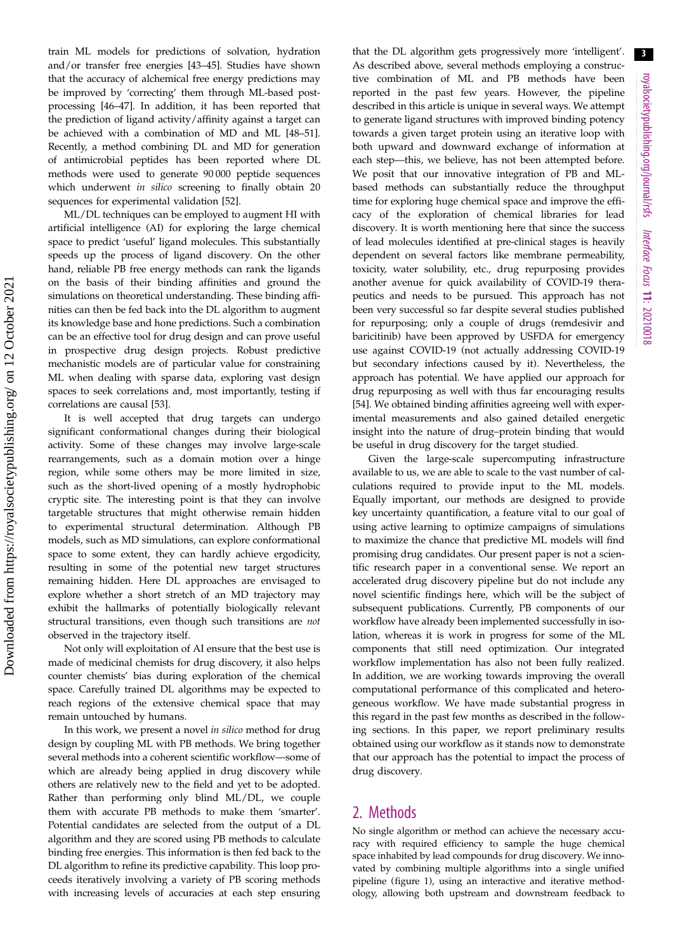train ML models for predictions of solvation, hydration and/or transfer free energies [\[43](#page-10-0)–[45\]](#page-10-0). Studies have shown that the accuracy of alchemical free energy predictions may be improved by 'correcting' them through ML-based postprocessing [\[46](#page-10-0)–[47\]](#page-10-0). In addition, it has been reported that the prediction of ligand activity/affinity against a target can be achieved with a combination of MD and ML [[48](#page-10-0)–[51](#page-10-0)]. Recently, a method combining DL and MD for generation of antimicrobial peptides has been reported where DL methods were used to generate 90 000 peptide sequences which underwent in silico screening to finally obtain 20 sequences for experimental validation [\[52](#page-10-0)].

ML/DL techniques can be employed to augment HI with artificial intelligence (AI) for exploring the large chemical space to predict 'useful' ligand molecules. This substantially speeds up the process of ligand discovery. On the other hand, reliable PB free energy methods can rank the ligands on the basis of their binding affinities and ground the simulations on theoretical understanding. These binding affinities can then be fed back into the DL algorithm to augment its knowledge base and hone predictions. Such a combination can be an effective tool for drug design and can prove useful in prospective drug design projects. Robust predictive mechanistic models are of particular value for constraining ML when dealing with sparse data, exploring vast design spaces to seek correlations and, most importantly, testing if correlations are causal [[53\]](#page-10-0).

It is well accepted that drug targets can undergo significant conformational changes during their biological activity. Some of these changes may involve large-scale rearrangements, such as a domain motion over a hinge region, while some others may be more limited in size, such as the short-lived opening of a mostly hydrophobic cryptic site. The interesting point is that they can involve targetable structures that might otherwise remain hidden to experimental structural determination. Although PB models, such as MD simulations, can explore conformational space to some extent, they can hardly achieve ergodicity, resulting in some of the potential new target structures remaining hidden. Here DL approaches are envisaged to explore whether a short stretch of an MD trajectory may exhibit the hallmarks of potentially biologically relevant structural transitions, even though such transitions are not observed in the trajectory itself.

Not only will exploitation of AI ensure that the best use is made of medicinal chemists for drug discovery, it also helps counter chemists' bias during exploration of the chemical space. Carefully trained DL algorithms may be expected to reach regions of the extensive chemical space that may remain untouched by humans.

In this work, we present a novel in silico method for drug design by coupling ML with PB methods. We bring together several methods into a coherent scientific workflow—some of which are already being applied in drug discovery while others are relatively new to the field and yet to be adopted. Rather than performing only blind ML/DL, we couple them with accurate PB methods to make them 'smarter'. Potential candidates are selected from the output of a DL algorithm and they are scored using PB methods to calculate binding free energies. This information is then fed back to the DL algorithm to refine its predictive capability. This loop proceeds iteratively involving a variety of PB scoring methods with increasing levels of accuracies at each step ensuring that the DL algorithm gets progressively more 'intelligent'. As described above, several methods employing a constructive combination of ML and PB methods have been reported in the past few years. However, the pipeline described in this article is unique in several ways. We attempt to generate ligand structures with improved binding potency towards a given target protein using an iterative loop with both upward and downward exchange of information at each step—this, we believe, has not been attempted before. We posit that our innovative integration of PB and MLbased methods can substantially reduce the throughput time for exploring huge chemical space and improve the efficacy of the exploration of chemical libraries for lead discovery. It is worth mentioning here that since the success of lead molecules identified at pre-clinical stages is heavily dependent on several factors like membrane permeability, toxicity, water solubility, etc., drug repurposing provides another avenue for quick availability of COVID-19 therapeutics and needs to be pursued. This approach has not been very successful so far despite several studies published for repurposing; only a couple of drugs (remdesivir and baricitinib) have been approved by USFDA for emergency use against COVID-19 (not actually addressing COVID-19 but secondary infections caused by it). Nevertheless, the approach has potential. We have applied our approach for drug repurposing as well with thus far encouraging results [[54\]](#page-10-0). We obtained binding affinities agreeing well with experimental measurements and also gained detailed energetic insight into the nature of drug–protein binding that would be useful in drug discovery for the target studied.

Given the large-scale supercomputing infrastructure available to us, we are able to scale to the vast number of calculations required to provide input to the ML models. Equally important, our methods are designed to provide key uncertainty quantification, a feature vital to our goal of using active learning to optimize campaigns of simulations to maximize the chance that predictive ML models will find promising drug candidates. Our present paper is not a scientific research paper in a conventional sense. We report an accelerated drug discovery pipeline but do not include any novel scientific findings here, which will be the subject of subsequent publications. Currently, PB components of our workflow have already been implemented successfully in isolation, whereas it is work in progress for some of the ML components that still need optimization. Our integrated workflow implementation has also not been fully realized. In addition, we are working towards improving the overall computational performance of this complicated and heterogeneous workflow. We have made substantial progress in this regard in the past few months as described in the following sections. In this paper, we report preliminary results obtained using our workflow as it stands now to demonstrate that our approach has the potential to impact the process of drug discovery.

## 2. Methods

No single algorithm or method can achieve the necessary accuracy with required efficiency to sample the huge chemical space inhabited by lead compounds for drug discovery. We innovated by combining multiple algorithms into a single unified pipeline ([figure 1\)](#page-3-0), using an interactive and iterative methodology, allowing both upstream and downstream feedback to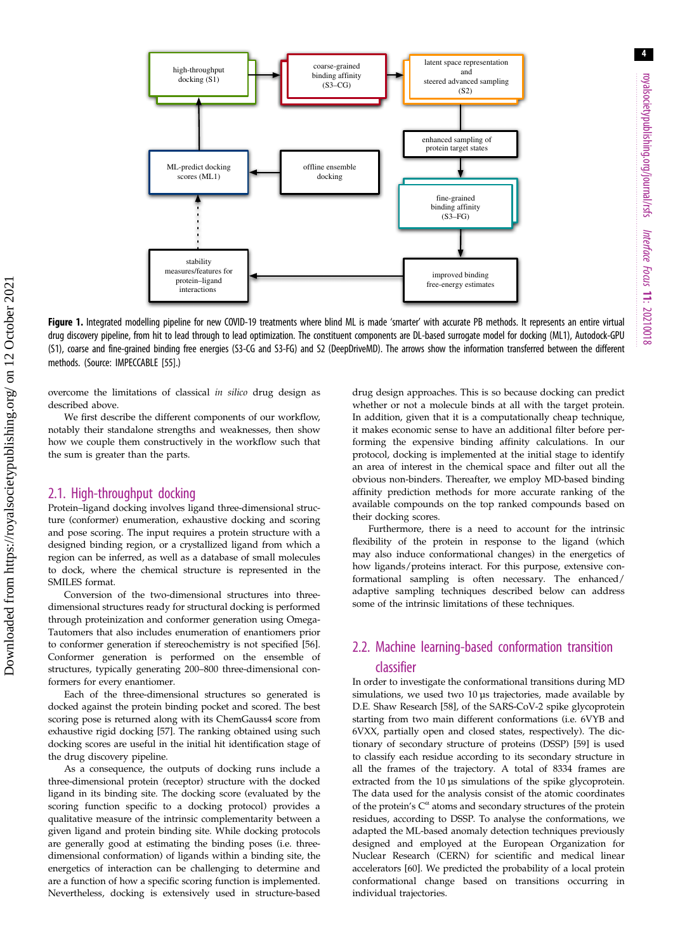<span id="page-3-0"></span>

Figure 1. Integrated modelling pipeline for new COVID-19 treatments where blind ML is made 'smarter' with accurate PB methods. It represents an entire virtual drug discovery pipeline, from hit to lead through to lead optimization. The constituent components are DL-based surrogate model for docking (ML1), Autodock-GPU (S1), coarse and fine-grained binding free energies (S3-CG and S3-FG) and S2 (DeepDriveMD). The arrows show the information transferred between the different methods. (Source: IMPECCABLE [[55](#page-10-0)].)

overcome the limitations of classical in silico drug design as described above.

We first describe the different components of our workflow, notably their standalone strengths and weaknesses, then show how we couple them constructively in the workflow such that the sum is greater than the parts.

### 2.1. High-throughput docking

Protein–ligand docking involves ligand three-dimensional structure (conformer) enumeration, exhaustive docking and scoring and pose scoring. The input requires a protein structure with a designed binding region, or a crystallized ligand from which a region can be inferred, as well as a database of small molecules to dock, where the chemical structure is represented in the SMILES format.

Conversion of the two-dimensional structures into threedimensional structures ready for structural docking is performed through proteinization and conformer generation using Omega-Tautomers that also includes enumeration of enantiomers prior to conformer generation if stereochemistry is not specified [\[56\]](#page-10-0). Conformer generation is performed on the ensemble of structures, typically generating 200–800 three-dimensional conformers for every enantiomer.

Each of the three-dimensional structures so generated is docked against the protein binding pocket and scored. The best scoring pose is returned along with its ChemGauss4 score from exhaustive rigid docking [[57](#page-10-0)]. The ranking obtained using such docking scores are useful in the initial hit identification stage of the drug discovery pipeline.

As a consequence, the outputs of docking runs include a three-dimensional protein (receptor) structure with the docked ligand in its binding site. The docking score (evaluated by the scoring function specific to a docking protocol) provides a qualitative measure of the intrinsic complementarity between a given ligand and protein binding site. While docking protocols are generally good at estimating the binding poses (i.e. threedimensional conformation) of ligands within a binding site, the energetics of interaction can be challenging to determine and are a function of how a specific scoring function is implemented. Nevertheless, docking is extensively used in structure-based drug design approaches. This is so because docking can predict whether or not a molecule binds at all with the target protein. In addition, given that it is a computationally cheap technique, it makes economic sense to have an additional filter before performing the expensive binding affinity calculations. In our protocol, docking is implemented at the initial stage to identify an area of interest in the chemical space and filter out all the obvious non-binders. Thereafter, we employ MD-based binding affinity prediction methods for more accurate ranking of the available compounds on the top ranked compounds based on their docking scores.

Furthermore, there is a need to account for the intrinsic flexibility of the protein in response to the ligand (which may also induce conformational changes) in the energetics of how ligands/proteins interact. For this purpose, extensive conformational sampling is often necessary. The enhanced/ adaptive sampling techniques described below can address some of the intrinsic limitations of these techniques.

## 2.2. Machine learning-based conformation transition classifier

In order to investigate the conformational transitions during MD simulations, we used two 10 µs trajectories, made available by D.E. Shaw Research [\[58\]](#page-10-0), of the SARS-CoV-2 spike glycoprotein starting from two main different conformations (i.e. 6VYB and 6VXX, partially open and closed states, respectively). The dictionary of secondary structure of proteins (DSSP) [\[59\]](#page-10-0) is used to classify each residue according to its secondary structure in all the frames of the trajectory. A total of 8334 frames are extracted from the 10 µs simulations of the spike glycoprotein. The data used for the analysis consist of the atomic coordinates of the protein's  $C^{\alpha}$  atoms and secondary structures of the protein residues, according to DSSP. To analyse the conformations, we adapted the ML-based anomaly detection techniques previously designed and employed at the European Organization for Nuclear Research (CERN) for scientific and medical linear accelerators [[60](#page-10-0)]. We predicted the probability of a local protein conformational change based on transitions occurring in individual trajectories.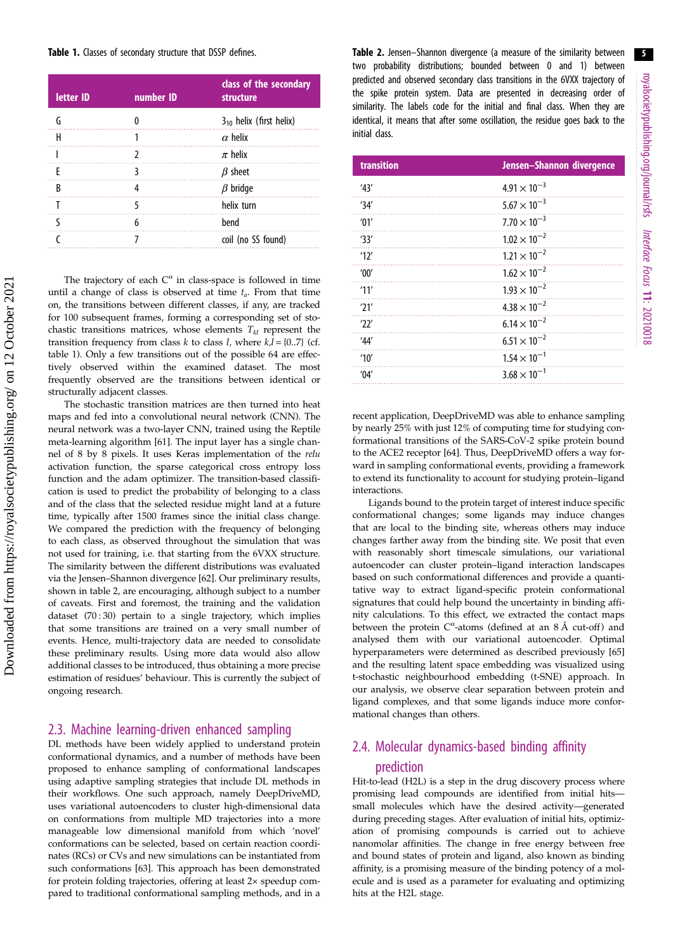#### Table 1. Classes of secondary structure that DSSP defines.

| letter ID | number ID | class of the secondary<br>structure |
|-----------|-----------|-------------------------------------|
| G         |           | $3_{10}$ helix (first helix)        |
| н         |           | $\alpha$ helix                      |
|           |           | $\pi$ helix                         |
| F         |           | $\beta$ sheet                       |
| B         |           | $\beta$ bridge                      |
|           |           | helix turn                          |
|           | 6         | bend                                |
|           |           | coil (no SS found)                  |

The trajectory of each  $C^{\alpha}$  in class-space is followed in time until a change of class is observed at time  $t_a$ . From that time on, the transitions between different classes, if any, are tracked for 100 subsequent frames, forming a corresponding set of stochastic transitions matrices, whose elements  $T_{kl}$  represent the transition frequency from class k to class l, where  $k, l = \{0..7\}$  (cf. table 1). Only a few transitions out of the possible 64 are effectively observed within the examined dataset. The most frequently observed are the transitions between identical or structurally adjacent classes.

The stochastic transition matrices are then turned into heat maps and fed into a convolutional neural network (CNN). The neural network was a two-layer CNN, trained using the Reptile meta-learning algorithm [\[61\]](#page-10-0). The input layer has a single channel of 8 by 8 pixels. It uses Keras implementation of the relu activation function, the sparse categorical cross entropy loss function and the adam optimizer. The transition-based classification is used to predict the probability of belonging to a class and of the class that the selected residue might land at a future time, typically after 1500 frames since the initial class change. We compared the prediction with the frequency of belonging to each class, as observed throughout the simulation that was not used for training, i.e. that starting from the 6VXX structure. The similarity between the different distributions was evaluated via the Jensen–Shannon divergence [\[62\]](#page-10-0). Our preliminary results, shown in table 2, are encouraging, although subject to a number of caveats. First and foremost, the training and the validation dataset (70:30) pertain to a single trajectory, which implies that some transitions are trained on a very small number of events. Hence, multi-trajectory data are needed to consolidate these preliminary results. Using more data would also allow additional classes to be introduced, thus obtaining a more precise estimation of residues' behaviour. This is currently the subject of ongoing research.

### 2.3. Machine learning-driven enhanced sampling

DL methods have been widely applied to understand protein conformational dynamics, and a number of methods have been proposed to enhance sampling of conformational landscapes using adaptive sampling strategies that include DL methods in their workflows. One such approach, namely DeepDriveMD, uses variational autoencoders to cluster high-dimensional data on conformations from multiple MD trajectories into a more manageable low dimensional manifold from which 'novel' conformations can be selected, based on certain reaction coordinates (RCs) or CVs and new simulations can be instantiated from such conformations [\[63\]](#page-10-0). This approach has been demonstrated for protein folding trajectories, offering at least 2× speedup compared to traditional conformational sampling methods, and in a Table 2. Jensen-Shannon divergence (a measure of the similarity between two probability distributions; bounded between 0 and 1) between predicted and observed secondary class transitions in the 6VXX trajectory of the spike protein system. Data are presented in decreasing order of similarity. The labels code for the initial and final class. When they are identical, it means that after some oscillation, the residue goes back to the initial class.

| transition | Jensen-Shannon divergence |
|------------|---------------------------|
| '43'       | $4.91 \times 10^{-3}$     |
| '34'       | $5.67 \times 10^{-3}$     |
| '01'       | $7.70 \times 10^{-3}$     |
| '33'       | $1.02 \times 10^{-2}$     |
| 12'        | $1.21 \times 10^{-2}$     |
| '00'       | $1.62 \times 10^{-2}$     |
| 11'        | $1.93 \times 10^{-2}$     |
| '21'       | $4.38 \times 10^{-2}$     |
| 22'        | $6.14 \times 10^{-2}$     |
| 44'        | $6.51 \times 10^{-2}$     |
| '10'       | $1.54 \times 10^{-1}$     |
| '04'       | $3.68 \times 10^{-1}$     |

recent application, DeepDriveMD was able to enhance sampling by nearly 25% with just 12% of computing time for studying conformational transitions of the SARS-CoV-2 spike protein bound to the ACE2 receptor [\[64\]](#page-10-0). Thus, DeepDriveMD offers a way forward in sampling conformational events, providing a framework to extend its functionality to account for studying protein–ligand interactions.

Ligands bound to the protein target of interest induce specific conformational changes; some ligands may induce changes that are local to the binding site, whereas others may induce changes farther away from the binding site. We posit that even with reasonably short timescale simulations, our variational autoencoder can cluster protein–ligand interaction landscapes based on such conformational differences and provide a quantitative way to extract ligand-specific protein conformational signatures that could help bound the uncertainty in binding affinity calculations. To this effect, we extracted the contact maps between the protein  $C^{\alpha}$ -atoms (defined at an 8 Å cut-off) and analysed them with our variational autoencoder. Optimal hyperparameters were determined as described previously [[65](#page-11-0)] and the resulting latent space embedding was visualized using t-stochastic neighbourhood embedding (t-SNE) approach. In our analysis, we observe clear separation between protein and ligand complexes, and that some ligands induce more conformational changes than others.

# 2.4. Molecular dynamics-based binding affinity

### prediction

Hit-to-lead (H2L) is a step in the drug discovery process where promising lead compounds are identified from initial hits small molecules which have the desired activity—generated during preceding stages. After evaluation of initial hits, optimization of promising compounds is carried out to achieve nanomolar affinities. The change in free energy between free and bound states of protein and ligand, also known as binding affinity, is a promising measure of the binding potency of a molecule and is used as a parameter for evaluating and optimizing hits at the H2L stage.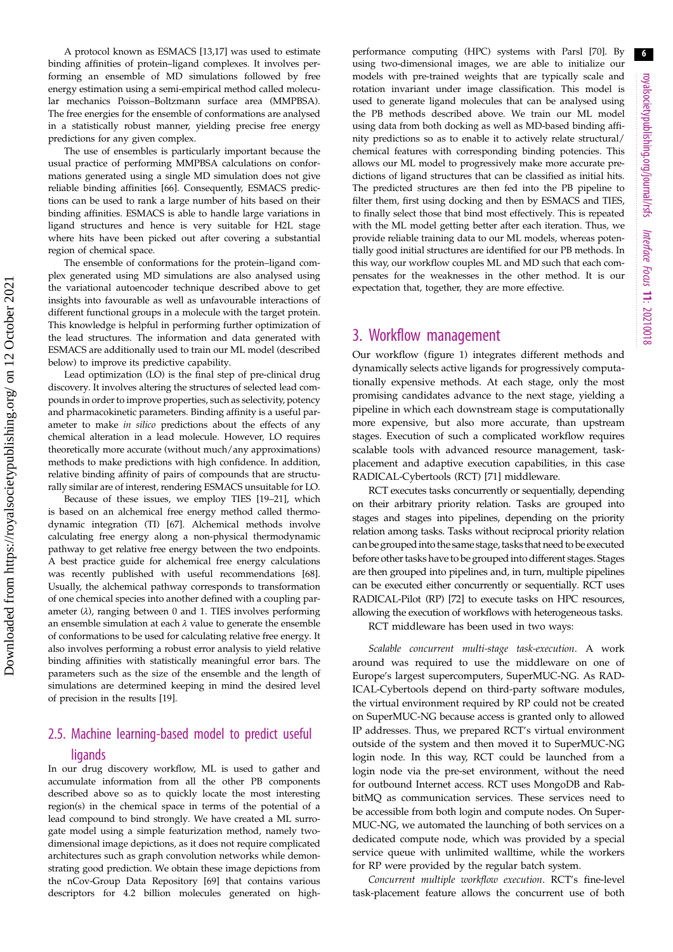A protocol known as ESMACS [\[13,17](#page-9-0)] was used to estimate binding affinities of protein–ligand complexes. It involves performing an ensemble of MD simulations followed by free energy estimation using a semi-empirical method called molecular mechanics Poisson–Boltzmann surface area (MMPBSA). The free energies for the ensemble of conformations are analysed in a statistically robust manner, yielding precise free energy predictions for any given complex.

The use of ensembles is particularly important because the usual practice of performing MMPBSA calculations on conformations generated using a single MD simulation does not give reliable binding affinities [\[66\]](#page-11-0). Consequently, ESMACS predictions can be used to rank a large number of hits based on their binding affinities. ESMACS is able to handle large variations in ligand structures and hence is very suitable for H2L stage where hits have been picked out after covering a substantial region of chemical space.

The ensemble of conformations for the protein–ligand complex generated using MD simulations are also analysed using the variational autoencoder technique described above to get insights into favourable as well as unfavourable interactions of different functional groups in a molecule with the target protein. This knowledge is helpful in performing further optimization of the lead structures. The information and data generated with ESMACS are additionally used to train our ML model (described below) to improve its predictive capability.

Lead optimization (LO) is the final step of pre-clinical drug discovery. It involves altering the structures of selected lead compounds in order to improve properties, such as selectivity, potency and pharmacokinetic parameters. Binding affinity is a useful parameter to make in silico predictions about the effects of any chemical alteration in a lead molecule. However, LO requires theoretically more accurate (without much/any approximations) methods to make predictions with high confidence. In addition, relative binding affinity of pairs of compounds that are structurally similar are of interest, rendering ESMACS unsuitable for LO.

Because of these issues, we employ TIES [[19](#page-9-0)–[21\]](#page-9-0), which is based on an alchemical free energy method called thermodynamic integration (TI) [\[67\]](#page-11-0). Alchemical methods involve calculating free energy along a non-physical thermodynamic pathway to get relative free energy between the two endpoints. A best practice guide for alchemical free energy calculations was recently published with useful recommendations [\[68\]](#page-11-0). Usually, the alchemical pathway corresponds to transformation of one chemical species into another defined with a coupling parameter  $(\lambda)$ , ranging between 0 and 1. TIES involves performing an ensemble simulation at each  $\lambda$  value to generate the ensemble of conformations to be used for calculating relative free energy. It also involves performing a robust error analysis to yield relative binding affinities with statistically meaningful error bars. The parameters such as the size of the ensemble and the length of simulations are determined keeping in mind the desired level of precision in the results [[19](#page-9-0)].

## 2.5. Machine learning-based model to predict useful ligands

In our drug discovery workflow, ML is used to gather and accumulate information from all the other PB components described above so as to quickly locate the most interesting region(s) in the chemical space in terms of the potential of a lead compound to bind strongly. We have created a ML surrogate model using a simple featurization method, namely twodimensional image depictions, as it does not require complicated architectures such as graph convolution networks while demonstrating good prediction. We obtain these image depictions from the nCov-Group Data Repository [[69\]](#page-11-0) that contains various descriptors for 4.2 billion molecules generated on highperformance computing (HPC) systems with Parsl [[70](#page-11-0)]. By using two-dimensional images, we are able to initialize our models with pre-trained weights that are typically scale and rotation invariant under image classification. This model is used to generate ligand molecules that can be analysed using the PB methods described above. We train our ML model using data from both docking as well as MD-based binding affinity predictions so as to enable it to actively relate structural/ chemical features with corresponding binding potencies. This allows our ML model to progressively make more accurate predictions of ligand structures that can be classified as initial hits. The predicted structures are then fed into the PB pipeline to filter them, first using docking and then by ESMACS and TIES, to finally select those that bind most effectively. This is repeated with the ML model getting better after each iteration. Thus, we provide reliable training data to our ML models, whereas potentially good initial structures are identified for our PB methods. In this way, our workflow couples ML and MD such that each compensates for the weaknesses in the other method. It is our expectation that, together, they are more effective.

### 3. Workflow management

Our workflow ([figure 1\)](#page-3-0) integrates different methods and dynamically selects active ligands for progressively computationally expensive methods. At each stage, only the most promising candidates advance to the next stage, yielding a pipeline in which each downstream stage is computationally more expensive, but also more accurate, than upstream stages. Execution of such a complicated workflow requires scalable tools with advanced resource management, taskplacement and adaptive execution capabilities, in this case RADICAL-Cybertools (RCT) [[71\]](#page-11-0) middleware.

RCT executes tasks concurrently or sequentially, depending on their arbitrary priority relation. Tasks are grouped into stages and stages into pipelines, depending on the priority relation among tasks. Tasks without reciprocal priority relation can be grouped into the same stage, tasks that need to be executed before other tasks have to be grouped into different stages. Stages are then grouped into pipelines and, in turn, multiple pipelines can be executed either concurrently or sequentially. RCT uses RADICAL-Pilot (RP) [\[72](#page-11-0)] to execute tasks on HPC resources, allowing the execution of workflows with heterogeneous tasks.

RCT middleware has been used in two ways:

Scalable concurrent multi-stage task-execution. A work around was required to use the middleware on one of Europe's largest supercomputers, SuperMUC-NG. As RAD-ICAL-Cybertools depend on third-party software modules, the virtual environment required by RP could not be created on SuperMUC-NG because access is granted only to allowed IP addresses. Thus, we prepared RCT's virtual environment outside of the system and then moved it to SuperMUC-NG login node. In this way, RCT could be launched from a login node via the pre-set environment, without the need for outbound Internet access. RCT uses MongoDB and RabbitMQ as communication services. These services need to be accessible from both login and compute nodes. On Super-MUC-NG, we automated the launching of both services on a dedicated compute node, which was provided by a special service queue with unlimited walltime, while the workers for RP were provided by the regular batch system.

Concurrent multiple workflow execution. RCT's fine-level task-placement feature allows the concurrent use of both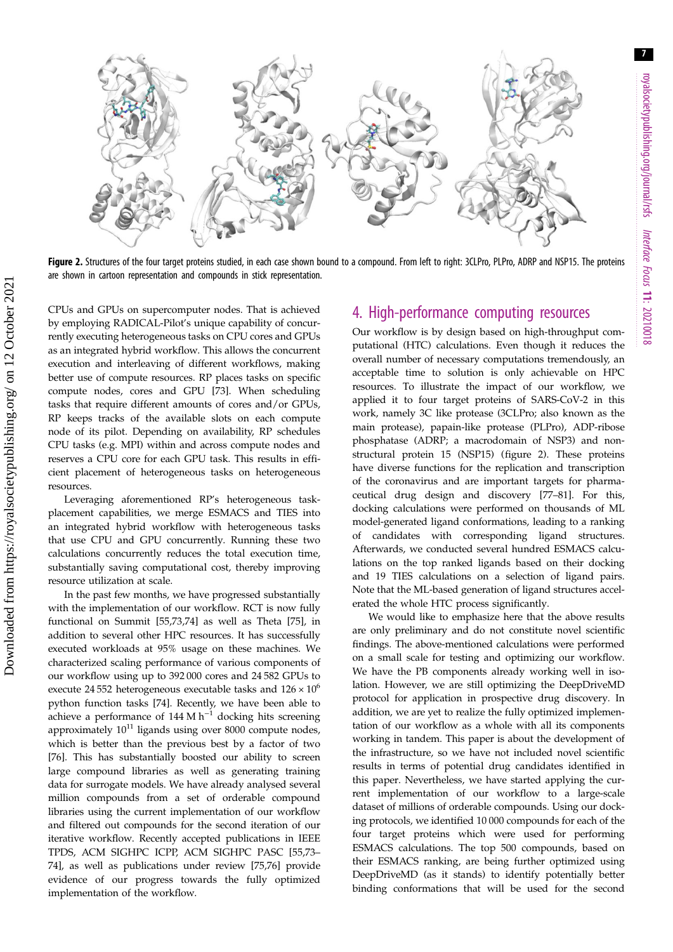<span id="page-6-0"></span>

Figure 2. Structures of the four target proteins studied, in each case shown bound to a compound. From left to right: 3CLPro, PLPro, ADRP and NSP15. The proteins are shown in cartoon representation and compounds in stick representation.

CPUs and GPUs on supercomputer nodes. That is achieved by employing RADICAL-Pilot's unique capability of concurrently executing heterogeneous tasks on CPU cores and GPUs as an integrated hybrid workflow. This allows the concurrent execution and interleaving of different workflows, making better use of compute resources. RP places tasks on specific compute nodes, cores and GPU [\[73\]](#page-11-0). When scheduling tasks that require different amounts of cores and/or GPUs, RP keeps tracks of the available slots on each compute node of its pilot. Depending on availability, RP schedules CPU tasks (e.g. MPI) within and across compute nodes and reserves a CPU core for each GPU task. This results in efficient placement of heterogeneous tasks on heterogeneous resources.

Leveraging aforementioned RP's heterogeneous taskplacement capabilities, we merge ESMACS and TIES into an integrated hybrid workflow with heterogeneous tasks that use CPU and GPU concurrently. Running these two calculations concurrently reduces the total execution time, substantially saving computational cost, thereby improving resource utilization at scale.

In the past few months, we have progressed substantially with the implementation of our workflow. RCT is now fully functional on Summit [[55](#page-10-0)[,73,74](#page-11-0)] as well as Theta [[75\]](#page-11-0), in addition to several other HPC resources. It has successfully executed workloads at 95% usage on these machines. We characterized scaling performance of various components of our workflow using up to 392 000 cores and 24 582 GPUs to execute 24 552 heterogeneous executable tasks and  $126 \times 10^6$ python function tasks [\[74](#page-11-0)]. Recently, we have been able to achieve a performance of 144 M  $h^{-1}$  docking hits screening approximately  $10^{11}$  ligands using over 8000 compute nodes, which is better than the previous best by a factor of two [\[76](#page-11-0)]. This has substantially boosted our ability to screen large compound libraries as well as generating training data for surrogate models. We have already analysed several million compounds from a set of orderable compound libraries using the current implementation of our workflow and filtered out compounds for the second iteration of our iterative workflow. Recently accepted publications in IEEE TPDS, ACM SIGHPC ICPP, ACM SIGHPC PASC [[55,](#page-10-0)[73](#page-11-0)– [74\]](#page-11-0), as well as publications under review [[75,76](#page-11-0)] provide evidence of our progress towards the fully optimized implementation of the workflow.

# 4. High-performance computing resources

Our workflow is by design based on high-throughput computational (HTC) calculations. Even though it reduces the overall number of necessary computations tremendously, an acceptable time to solution is only achievable on HPC resources. To illustrate the impact of our workflow, we applied it to four target proteins of SARS-CoV-2 in this work, namely 3C like protease (3CLPro; also known as the main protease), papain-like protease (PLPro), ADP-ribose phosphatase (ADRP; a macrodomain of NSP3) and nonstructural protein 15 (NSP15) (figure 2). These proteins have diverse functions for the replication and transcription of the coronavirus and are important targets for pharmaceutical drug design and discovery [\[77](#page-11-0)–[81\]](#page-11-0). For this, docking calculations were performed on thousands of ML model-generated ligand conformations, leading to a ranking of candidates with corresponding ligand structures. Afterwards, we conducted several hundred ESMACS calculations on the top ranked ligands based on their docking and 19 TIES calculations on a selection of ligand pairs. Note that the ML-based generation of ligand structures accelerated the whole HTC process significantly.

We would like to emphasize here that the above results are only preliminary and do not constitute novel scientific findings. The above-mentioned calculations were performed on a small scale for testing and optimizing our workflow. We have the PB components already working well in isolation. However, we are still optimizing the DeepDriveMD protocol for application in prospective drug discovery. In addition, we are yet to realize the fully optimized implementation of our workflow as a whole with all its components working in tandem. This paper is about the development of the infrastructure, so we have not included novel scientific results in terms of potential drug candidates identified in this paper. Nevertheless, we have started applying the current implementation of our workflow to a large-scale dataset of millions of orderable compounds. Using our docking protocols, we identified 10 000 compounds for each of the four target proteins which were used for performing ESMACS calculations. The top 500 compounds, based on their ESMACS ranking, are being further optimized using DeepDriveMD (as it stands) to identify potentially better binding conformations that will be used for the second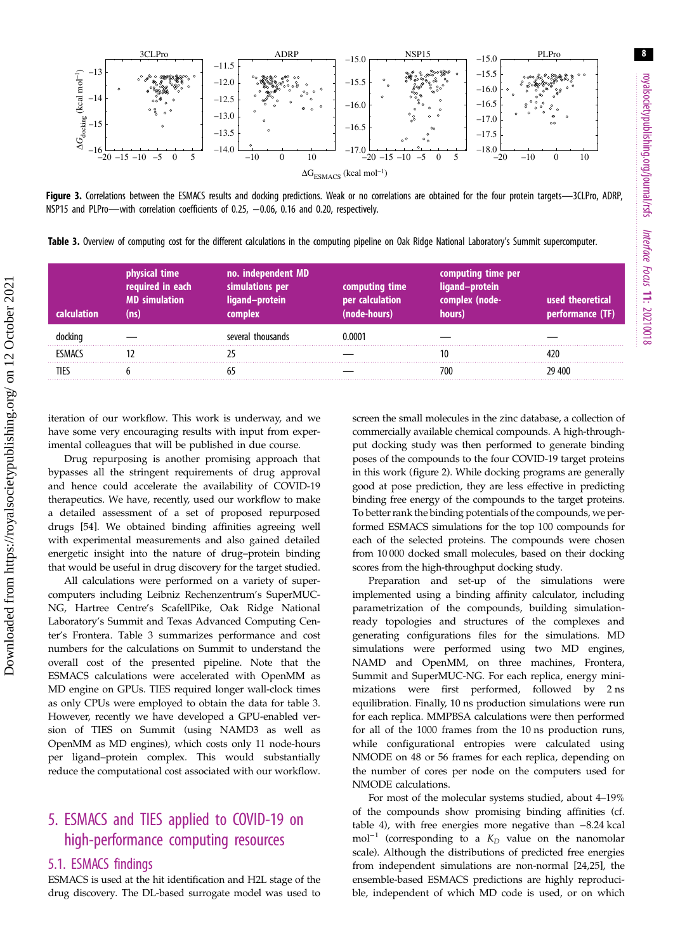<span id="page-7-0"></span>

Figure 3. Correlations between the ESMACS results and docking predictions. Weak or no correlations are obtained for the four protein targets—3CLPro, ADRP, NSP15 and PLPro—with correlation coefficients of 0.25, -0.06, 0.16 and 0.20, respectively.

Table 3. Overview of computing cost for the different calculations in the computing pipeline on Oak Ridge National Laboratory's Summit supercomputer.

|               | physical time<br>required in each<br><b>MD</b> simulation | no. independent MD<br>simulations per<br>and–protein'<br>complex | computing time<br>per calculation<br>10de-hours) | computing time per<br>ligand-protein<br>complex (node-<br>hours) | used theoretical<br>performance (TF) |
|---------------|-----------------------------------------------------------|------------------------------------------------------------------|--------------------------------------------------|------------------------------------------------------------------|--------------------------------------|
|               |                                                           | several thousands                                                | 1.0001                                           |                                                                  |                                      |
| <b>FSMACS</b> |                                                           |                                                                  |                                                  |                                                                  |                                      |
|               |                                                           |                                                                  |                                                  |                                                                  | 29 400                               |

iteration of our workflow. This work is underway, and we have some very encouraging results with input from experimental colleagues that will be published in due course.

Drug repurposing is another promising approach that bypasses all the stringent requirements of drug approval and hence could accelerate the availability of COVID-19 therapeutics. We have, recently, used our workflow to make a detailed assessment of a set of proposed repurposed drugs [[54\]](#page-10-0). We obtained binding affinities agreeing well with experimental measurements and also gained detailed energetic insight into the nature of drug–protein binding that would be useful in drug discovery for the target studied.

All calculations were performed on a variety of supercomputers including Leibniz Rechenzentrum's SuperMUC-NG, Hartree Centre's ScafellPike, Oak Ridge National Laboratory's Summit and Texas Advanced Computing Center's Frontera. Table 3 summarizes performance and cost numbers for the calculations on Summit to understand the overall cost of the presented pipeline. Note that the ESMACS calculations were accelerated with OpenMM as MD engine on GPUs. TIES required longer wall-clock times as only CPUs were employed to obtain the data for table 3. However, recently we have developed a GPU-enabled version of TIES on Summit (using NAMD3 as well as OpenMM as MD engines), which costs only 11 node-hours per ligand–protein complex. This would substantially reduce the computational cost associated with our workflow.

# 5. ESMACS and TIES applied to COVID-19 on high-performance computing resources

### 5.1. ESMACS findings

ESMACS is used at the hit identification and H2L stage of the drug discovery. The DL-based surrogate model was used to

screen the small molecules in the zinc database, a collection of commercially available chemical compounds. A high-throughput docking study was then performed to generate binding poses of the compounds to the four COVID-19 target proteins in this work ([figure 2](#page-6-0)). While docking programs are generally good at pose prediction, they are less effective in predicting binding free energy of the compounds to the target proteins. To better rank the binding potentials of the compounds, we performed ESMACS simulations for the top 100 compounds for each of the selected proteins. The compounds were chosen from 10 000 docked small molecules, based on their docking scores from the high-throughput docking study.

Preparation and set-up of the simulations were implemented using a binding affinity calculator, including parametrization of the compounds, building simulationready topologies and structures of the complexes and generating configurations files for the simulations. MD simulations were performed using two MD engines, NAMD and OpenMM, on three machines, Frontera, Summit and SuperMUC-NG. For each replica, energy minimizations were first performed, followed by 2 ns equilibration. Finally, 10 ns production simulations were run for each replica. MMPBSA calculations were then performed for all of the 1000 frames from the 10 ns production runs, while configurational entropies were calculated using NMODE on 48 or 56 frames for each replica, depending on the number of cores per node on the computers used for NMODE calculations.

For most of the molecular systems studied, about 4–19% of the compounds show promising binding affinities (cf. [table 4\)](#page-8-0), with free energies more negative than −8.24 kcal mol<sup>-1</sup> (corresponding to a  $K_D$  value on the nanomolar scale). Although the distributions of predicted free energies from independent simulations are non-normal [\[24](#page-10-0),[25\]](#page-10-0), the ensemble-based ESMACS predictions are highly reproducible, independent of which MD code is used, or on which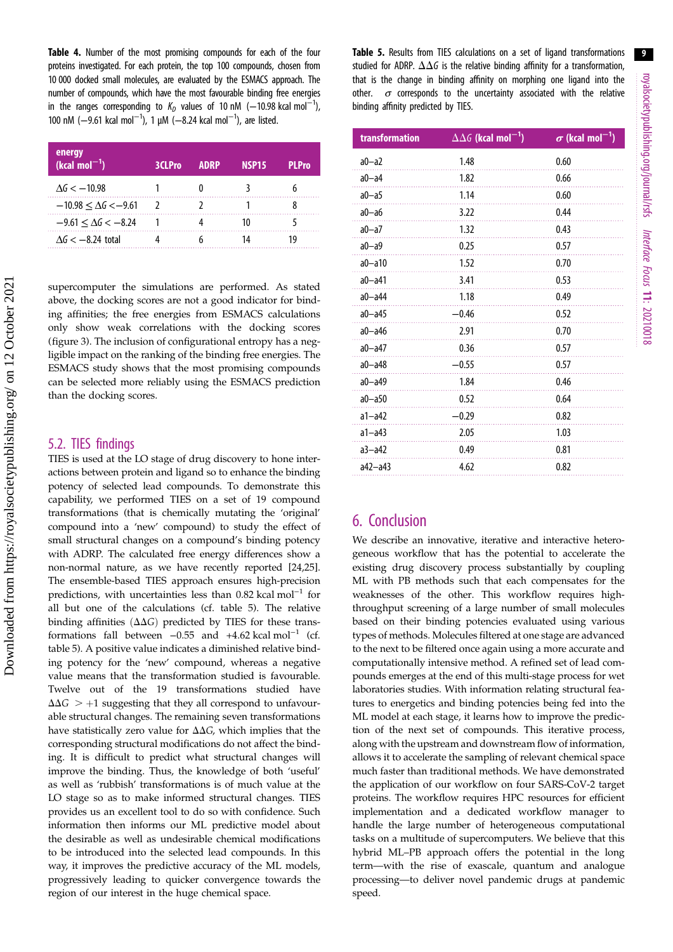<span id="page-8-0"></span>Table 4. Number of the most promising compounds for each of the four proteins investigated. For each protein, the top 100 compounds, chosen from 10 000 docked small molecules, are evaluated by the ESMACS approach. The number of compounds, which have the most favourable binding free energies in the ranges corresponding to  $K_D$  values of 10 nM ( $-10.98$  kcal mol $^{-1}$ ), 100 nM (-9.61 kcal mol<sup>-1</sup>), 1 μM (-8.24 kcal mol<sup>-1</sup>), are listed.

| energy<br>$(kcal mol-1)$          | 3CLPro | <b>ADRP</b> | NSP <sub>15</sub> | <b>PI</b> Pro |
|-----------------------------------|--------|-------------|-------------------|---------------|
| $\Delta G < -10.98$               |        |             |                   |               |
| $-10.98 \leq \Delta G \leq -9.61$ |        |             |                   |               |
| $-9.61 \leq \Delta G < -8.24$     |        |             |                   |               |
| $\Delta G < -8.24$ total          |        |             |                   |               |

supercomputer the simulations are performed. As stated above, the docking scores are not a good indicator for binding affinities; the free energies from ESMACS calculations only show weak correlations with the docking scores [\(figure 3](#page-7-0)). The inclusion of configurational entropy has a negligible impact on the ranking of the binding free energies. The ESMACS study shows that the most promising compounds can be selected more reliably using the ESMACS prediction than the docking scores.

### 5.2. TIES findings

TIES is used at the LO stage of drug discovery to hone interactions between protein and ligand so to enhance the binding potency of selected lead compounds. To demonstrate this capability, we performed TIES on a set of 19 compound transformations (that is chemically mutating the 'original' compound into a 'new' compound) to study the effect of small structural changes on a compound's binding potency with ADRP. The calculated free energy differences show a non-normal nature, as we have recently reported [\[24,25](#page-10-0)]. The ensemble-based TIES approach ensures high-precision predictions, with uncertainties less than 0.82 kcal mol−<sup>1</sup> for all but one of the calculations (cf. table 5). The relative binding affinities  $(\Delta \Delta G)$  predicted by TIES for these transformations fall between  $-0.55$  and  $+4.62$  kcal mol<sup>-1</sup> (cf. table 5). A positive value indicates a diminished relative binding potency for the 'new' compound, whereas a negative value means that the transformation studied is favourable. Twelve out of the 19 transformations studied have  $\Delta\Delta G$  > +1 suggesting that they all correspond to unfavourable structural changes. The remaining seven transformations have statistically zero value for  $\Delta\Delta G$ , which implies that the corresponding structural modifications do not affect the binding. It is difficult to predict what structural changes will improve the binding. Thus, the knowledge of both 'useful' as well as 'rubbish' transformations is of much value at the LO stage so as to make informed structural changes. TIES provides us an excellent tool to do so with confidence. Such information then informs our ML predictive model about the desirable as well as undesirable chemical modifications to be introduced into the selected lead compounds. In this way, it improves the predictive accuracy of the ML models, progressively leading to quicker convergence towards the region of our interest in the huge chemical space.

Table 5. Results from TIES calculations on a set of ligand transformations studied for ADRP.  $\Delta\Delta G$  is the relative binding affinity for a transformation, that is the change in binding affinity on morphing one ligand into the other.  $\sigma$  corresponds to the uncertainty associated with the relative binding affinity predicted by TIES.

| transformation | $\Delta\Delta G$ (kcal mol <sup>-1</sup> ) | $\sigma$ (kcal mol $^{-1}$ ) |
|----------------|--------------------------------------------|------------------------------|
| $a0 - a2$      | 1.48                                       | 0.60                         |
| $a0 - a4$      | 1.82                                       | 0.66                         |
| $a0 - a5$      | 1.14                                       | 0.60                         |
| $a0 - a6$      | 3.22                                       | 0.44                         |
| $a0-a7$        | 1.32                                       | 0.43                         |
| $a0 - a9$      | 0.25                                       | 0.57                         |
| $a0 - a10$     | 1.52                                       | 0.70                         |
| $a0 - a41$     | 3.41                                       | 0.53                         |
| $a0 - a44$     | 1.18                                       | 0.49                         |
| $a0 - a45$     | $-0.46$                                    | 0.52                         |
| $a0 - a46$     | 2.91                                       | 0.70                         |
| $a0 - a47$     | 0.36                                       | 0.57                         |
| $a0 - a48$     | $-0.55$                                    | 0.57                         |
| $a0 - a49$     | 1.84                                       | 0.46                         |
| $a0 - a50$     | 0.52                                       | 0.64                         |
| $a1 - a42$     | $-0.29$                                    | 0.82                         |
| $a1 - a43$     | 2.05                                       | 1.03                         |
| $a3 - a42$     | 0.49                                       | 0.81                         |
| $a42 - a43$    | 4.62                                       | 0.82                         |

## 6. Conclusion

We describe an innovative, iterative and interactive heterogeneous workflow that has the potential to accelerate the existing drug discovery process substantially by coupling ML with PB methods such that each compensates for the weaknesses of the other. This workflow requires highthroughput screening of a large number of small molecules based on their binding potencies evaluated using various types of methods. Molecules filtered at one stage are advanced to the next to be filtered once again using a more accurate and computationally intensive method. A refined set of lead compounds emerges at the end of this multi-stage process for wet laboratories studies. With information relating structural features to energetics and binding potencies being fed into the ML model at each stage, it learns how to improve the prediction of the next set of compounds. This iterative process, along with the upstream and downstream flow of information, allows it to accelerate the sampling of relevant chemical space much faster than traditional methods. We have demonstrated the application of our workflow on four SARS-CoV-2 target proteins. The workflow requires HPC resources for efficient implementation and a dedicated workflow manager to handle the large number of heterogeneous computational tasks on a multitude of supercomputers. We believe that this hybrid ML–PB approach offers the potential in the long term—with the rise of exascale, quantum and analogue processing—to deliver novel pandemic drugs at pandemic speed.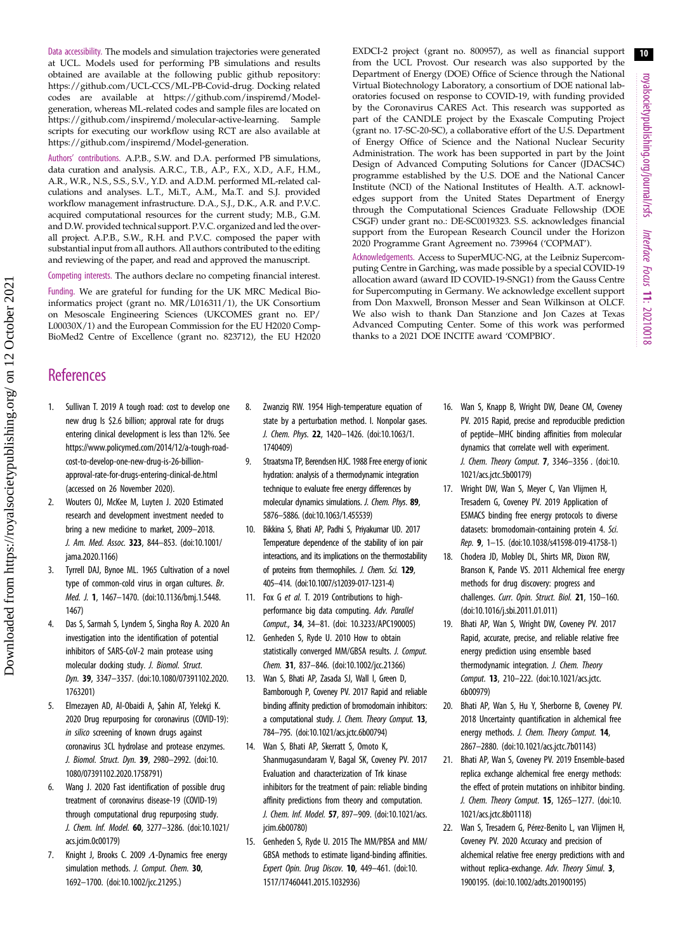<span id="page-9-0"></span>Data accessibility. The models and simulation trajectories were generated at UCL. Models used for performing PB simulations and results obtained are available at the following public github repository: [https://github.com/UCL-CCS/ML-PB-Covid-drug.](https://github.com/UCL-CCS/ML-PB-Covid-drug) Docking related codes are available at [https://github.com/inspiremd/Model](https://github.com/inspiremd/Model-generation)[generation](https://github.com/inspiremd/Model-generation), whereas ML-related codes and sample files are located on <https://github.com/inspiremd/molecular-active-learning>. Sample scripts for executing our workflow using RCT are also available at <https://github.com/inspiremd/Model-generation>.

Authors' contributions. A.P.B., S.W. and D.A. performed PB simulations, data curation and analysis. A.R.C., T.B., A.P., F.X., X.D., A.F., H.M., A.R., W.R., N.S., S.S., S.V., Y.D. and A.D.M. performed ML-related calculations and analyses. L.T., Mi.T., A.M., Ma.T. and S.J. provided workflow management infrastructure. D.A., S.J., D.K., A.R. and P.V.C. acquired computational resources for the current study; M.B., G.M. and D.W. provided technical support. P.V.C. organized and led the overall project. A.P.B., S.W., R.H. and P.V.C. composed the paper with substantial input from all authors. All authors contributed to the editing and reviewing of the paper, and read and approved the manuscript.

Competing interests. The authors declare no competing financial interest.

Funding. We are grateful for funding for the UK MRC Medical Bioinformatics project (grant no. MR/L016311/1), the UK Consortium on Mesoscale Engineering Sciences (UKCOMES grant no. EP/ L00030X/1) and the European Commission for the EU H2020 Comp-BioMed2 Centre of Excellence (grant no. 823712), the EU H2020 EXDCI-2 project (grant no. 800957), as well as financial support from the UCL Provost. Our research was also supported by the Department of Energy (DOE) Office of Science through the National Virtual Biotechnology Laboratory, a consortium of DOE national laboratories focused on response to COVID-19, with funding provided by the Coronavirus CARES Act. This research was supported as part of the CANDLE project by the Exascale Computing Project (grant no. 17-SC-20-SC), a collaborative effort of the U.S. Department of Energy Office of Science and the National Nuclear Security Administration. The work has been supported in part by the Joint Design of Advanced Computing Solutions for Cancer (JDACS4C) programme established by the U.S. DOE and the National Cancer Institute (NCI) of the National Institutes of Health. A.T. acknowledges support from the United States Department of Energy through the Computational Sciences Graduate Fellowship (DOE CSGF) under grant no.: DE-SC0019323. S.S. acknowledges financial support from the European Research Council under the Horizon 2020 Programme Grant Agreement no. 739964 ('COPMAT').

Acknowledgements. Access to SuperMUC-NG, at the Leibniz Supercomputing Centre in Garching, was made possible by a special COVID-19 allocation award (award ID COVID-19-SNG1) from the Gauss Centre for Supercomputing in Germany. We acknowledge excellent support from Don Maxwell, Bronson Messer and Sean Wilkinson at OLCF. We also wish to thank Dan Stanzione and Jon Cazes at Texas Advanced Computing Center. Some of this work was performed thanks to a 2021 DOE INCITE award 'COMPBIO'.

# **References**

- 1. Sullivan T. 2019 A tough road: cost to develop one new drug Is \$2.6 billion; approval rate for drugs entering clinical development is less than 12%. See [https://www.policymed.com/2014/12/a-tough-road](https://www.policymed.com/2014/12/a-tough-road-cost-to-develop-one-new-drug-is-26-billion-approval-rate-for-drugs-entering-clinical-de.html)[cost-to-develop-one-new-drug-is-26-billion](https://www.policymed.com/2014/12/a-tough-road-cost-to-develop-one-new-drug-is-26-billion-approval-rate-for-drugs-entering-clinical-de.html)[approval-rate-for-drugs-entering-clinical-de.html](https://www.policymed.com/2014/12/a-tough-road-cost-to-develop-one-new-drug-is-26-billion-approval-rate-for-drugs-entering-clinical-de.html) (accessed on 26 November 2020).
- 2. Wouters OJ, McKee M, Luyten J. 2020 Estimated research and development investment needed to bring a new medicine to market, 2009–2018. J. Am. Med. Assoc. 323, 844–853. ([doi:10.1001/](http://dx.doi.org/10.1001/jama.2020.1166) [jama.2020.1166](http://dx.doi.org/10.1001/jama.2020.1166))
- 3. Tyrrell DAJ, Bynoe ML. 1965 Cultivation of a novel type of common-cold virus in organ cultures. Br. Med. J. 1, 1467–1470. [\(doi:10.1136/bmj.1.5448.](http://dx.doi.org/10.1136/bmj.1.5448.1467) [1467\)](http://dx.doi.org/10.1136/bmj.1.5448.1467)
- 4. Das S, Sarmah S, Lyndem S, Singha Roy A. 2020 An investigation into the identification of potential inhibitors of SARS-CoV-2 main protease using molecular docking study. J. Biomol. Struct. Dyn. 39, 3347–3357. ([doi:10.1080/07391102.2020.](http://dx.doi.org/10.1080/07391102.2020.1763201) [1763201\)](http://dx.doi.org/10.1080/07391102.2020.1763201)
- 5. Elmezayen AD, Al-Obaidi A, Şahin AT, Yelekçi K. 2020 Drug repurposing for coronavirus (COVID-19): in silico screening of known drugs against coronavirus 3CL hydrolase and protease enzymes. J. Biomol. Struct. Dyn. 39, 2980–2992. [\(doi:10.](http://dx.doi.org/10.1080/07391102.2020.1758791) [1080/07391102.2020.1758791](http://dx.doi.org/10.1080/07391102.2020.1758791))
- 6. Wang J. 2020 Fast identification of possible drug treatment of coronavirus disease-19 (COVID-19) through computational drug repurposing study. J. Chem. Inf. Model. 60, 3277–3286. [\(doi:10.1021/](http://dx.doi.org/10.1021/acs.jcim.0c00179) [acs.jcim.0c00179\)](http://dx.doi.org/10.1021/acs.jcim.0c00179)
- 7. Knight J, Brooks C. 2009  $\Lambda$ -Dynamics free energy simulation methods. *J. Comput. Chem.* 30, 1692–1700. [\(doi:10.1002/jcc.21295.](http://dx.doi.org/10.1002/jcc.21295.))
- 8. Zwanzig RW. 1954 High-temperature equation of state by a perturbation method. I. Nonpolar gases. J. Chem. Phys. 22, 1420–1426. ([doi:10.1063/1.](http://dx.doi.org/10.1063/1.1740409) [1740409\)](http://dx.doi.org/10.1063/1.1740409)
- 9. Straatsma TP, Berendsen HJC. 1988 Free energy of ionic hydration: analysis of a thermodynamic integration technique to evaluate free energy differences by molecular dynamics simulations. J. Chem. Phys. 89, 5876–5886. ([doi:10.1063/1.455539](http://dx.doi.org/10.1063/1.455539))
- 10. Bikkina S, Bhati AP, Padhi S, Priyakumar UD. 2017 Temperature dependence of the stability of ion pair interactions, and its implications on the thermostability of proteins from thermophiles. J. Chem. Sci. 129, 405–414. [\(doi:10.1007/s12039-017-1231-4\)](http://dx.doi.org/10.1007/s12039-017-1231-4)
- 11. Fox G et al. T. 2019 Contributions to highperformance big data computing. Adv. Parallel Comput., 34, 34–81. ([doi: 10.3233/APC190005](http://dx.doi.org/10.3233/APC190005))
- 12. Genheden S, Ryde U. 2010 How to obtain statistically converged MM/GBSA results. J. Comput. Chem. 31, 837–846. [\(doi:10.1002/jcc.21366](http://dx.doi.org/10.1002/jcc.21366))
- 13. Wan S, Bhati AP, Zasada SJ, Wall I, Green D, Bamborough P, Coveney PV. 2017 Rapid and reliable binding affinity prediction of bromodomain inhibitors: a computational study. J. Chem. Theory Comput. 13, 784–795. ([doi:10.1021/acs.jctc.6b00794](http://dx.doi.org/10.1021/acs.jctc.6b00794))
- 14. Wan S, Bhati AP, Skerratt S, Omoto K, Shanmugasundaram V, Bagal SK, Coveney PV. 2017 Evaluation and characterization of Trk kinase inhibitors for the treatment of pain: reliable binding affinity predictions from theory and computation. J. Chem. Inf. Model. 57, 897–909. ([doi:10.1021/acs.](http://dx.doi.org/10.1021/acs.jcim.6b00780) [jcim.6b00780\)](http://dx.doi.org/10.1021/acs.jcim.6b00780)
- 15. Genheden S, Ryde U. 2015 The MM/PBSA and MM/ GBSA methods to estimate ligand-binding affinities. Expert Opin. Drug Discov. 10, 449–461. ([doi:10.](http://dx.doi.org/10.1517/17460441.2015.1032936) [1517/17460441.2015.1032936](http://dx.doi.org/10.1517/17460441.2015.1032936))
- 16. Wan S, Knapp B, Wright DW, Deane CM, Coveney PV. 2015 Rapid, precise and reproducible prediction of peptide–MHC binding affinities from molecular dynamics that correlate well with experiment. J. Chem. Theory Comput. 7, 3346–3356 . ([doi:10.](http://dx.doi.org/10.1021/acs.jctc.5b00179) [1021/acs.jctc.5b00179](http://dx.doi.org/10.1021/acs.jctc.5b00179))
- 17. Wright DW, Wan S, Meyer C, Van Vlijmen H, Tresadern G, Coveney PV. 2019 Application of ESMACS binding free energy protocols to diverse datasets: bromodomain-containing protein 4. Sci. Rep. 9, 1–15. [\(doi:10.1038/s41598-019-41758-1\)](http://dx.doi.org/10.1038/s41598-019-41758-1)
- 18. Chodera JD, Mobley DL, Shirts MR, Dixon RW, Branson K, Pande VS. 2011 Alchemical free energy methods for drug discovery: progress and challenges. Curr. Opin. Struct. Biol. 21, 150-160. ([doi:10.1016/j.sbi.2011.01.011\)](http://dx.doi.org/10.1016/j.sbi.2011.01.011)
- 19. Bhati AP, Wan S, Wright DW, Coveney PV. 2017 Rapid, accurate, precise, and reliable relative free energy prediction using ensemble based thermodynamic integration. J. Chem. Theory Comput. 13, 210–222. ([doi:10.1021/acs.jctc.](http://dx.doi.org/10.1021/acs.jctc.6b00979) [6b00979](http://dx.doi.org/10.1021/acs.jctc.6b00979))
- 20. Bhati AP, Wan S, Hu Y, Sherborne B, Coveney PV. 2018 Uncertainty quantification in alchemical free energy methods. J. Chem. Theory Comput. 14, 2867–2880. [\(doi:10.1021/acs.jctc.7b01143](http://dx.doi.org/10.1021/acs.jctc.7b01143))
- 21. Bhati AP, Wan S, Coveney PV. 2019 Ensemble-based replica exchange alchemical free energy methods: the effect of protein mutations on inhibitor binding. J. Chem. Theory Comput. 15, 1265–1277. [\(doi:10.](http://dx.doi.org/10.1021/acs.jctc.8b01118) [1021/acs.jctc.8b01118](http://dx.doi.org/10.1021/acs.jctc.8b01118))
- 22. Wan S, Tresadern G, Pérez-Benito L, van Vlijmen H, Coveney PV. 2020 Accuracy and precision of alchemical relative free energy predictions with and without replica-exchange. Adv. Theory Simul. 3, 1900195. [\(doi:10.1002/adts.201900195](http://dx.doi.org/10.1002/adts.201900195))

10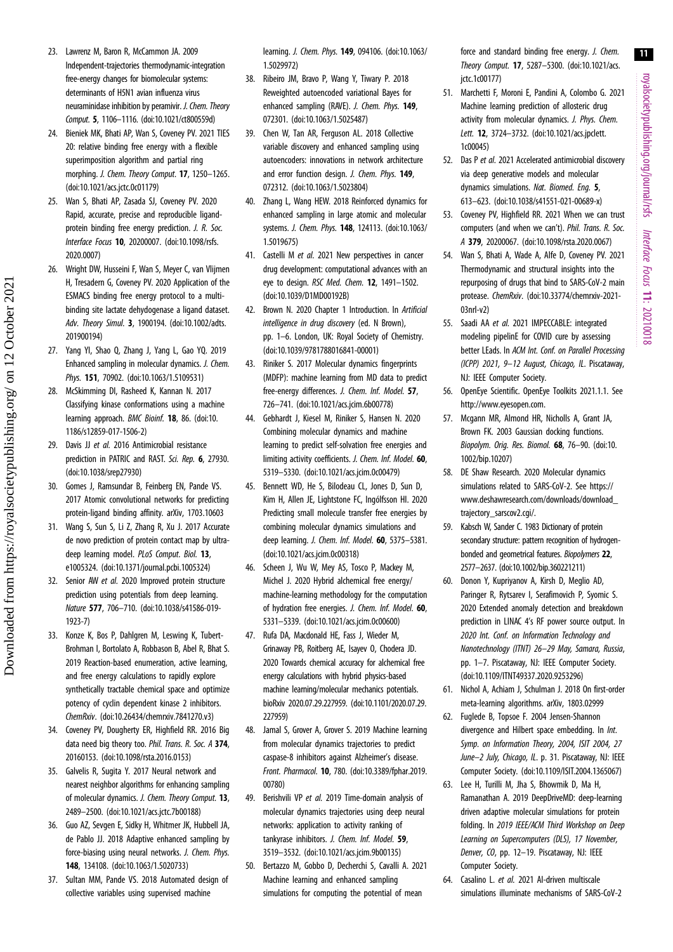royalsocietypublishing.org/journal/rsfs Interface Focus 11: 20210018

11

- <span id="page-10-0"></span>23. Lawrenz M, Baron R, McCammon JA. 2009 Independent-trajectories thermodynamic-integration free-energy changes for biomolecular systems: determinants of H5N1 avian influenza virus neuraminidase inhibition by peramivir. J. Chem. Theory Comput. 5, 1106–1116. [\(doi:10.1021/ct800559d](http://dx.doi.org/10.1021/ct800559d))
- 24. Bieniek MK, Bhati AP, Wan S, Coveney PV. 2021 TIES 20: relative binding free energy with a flexible superimposition algorithm and partial ring morphing. J. Chem. Theory Comput. 17, 1250–1265. [\(doi:10.1021/acs.jctc.0c01179\)](http://dx.doi.org/10.1021/acs.jctc.0c01179)
- 25. Wan S, Bhati AP, Zasada SJ, Coveney PV. 2020 Rapid, accurate, precise and reproducible ligandprotein binding free energy prediction. J. R. Soc. Interface Focus 10, 20200007. [\(doi:10.1098/rsfs.](http://dx.doi.org/10.1098/rsfs.2020.0007) [2020.0007\)](http://dx.doi.org/10.1098/rsfs.2020.0007)
- 26. Wright DW, Husseini F, Wan S, Meyer C, van Vlijmen H, Tresadern G, Coveney PV. 2020 Application of the ESMACS binding free energy protocol to a multibinding site lactate dehydogenase a ligand dataset. Adv. Theory Simul. 3, 1900194. [\(doi:10.1002/adts.](http://dx.doi.org/10.1002/adts.201900194) [201900194](http://dx.doi.org/10.1002/adts.201900194))
- 27. Yang YI, Shao Q, Zhang J, Yang L, Gao YQ. 2019 Enhanced sampling in molecular dynamics. J. Chem. Phys. 151, 70902. ([doi:10.1063/1.5109531](http://dx.doi.org/10.1063/1.5109531))
- 28. McSkimming DI, Rasheed K, Kannan N. 2017 Classifying kinase conformations using a machine learning approach. BMC Bioinf. 18, 86. [\(doi:10.](http://dx.doi.org/10.1186/s12859-017-1506-2) [1186/s12859-017-1506-2\)](http://dx.doi.org/10.1186/s12859-017-1506-2)
- 29. Davis JJ et al. 2016 Antimicrobial resistance prediction in PATRIC and RAST. Sci. Rep. 6, 27930. [\(doi:10.1038/srep27930](http://dx.doi.org/10.1038/srep27930))
- 30. Gomes J, Ramsundar B, Feinberg EN, Pande VS. 2017 Atomic convolutional networks for predicting protein-ligand binding affinity. arXiv, 1703.10603
- 31. Wang S, Sun S, Li Z, Zhang R, Xu J. 2017 Accurate de novo prediction of protein contact map by ultradeep learning model. PLoS Comput. Biol. 13, e1005324. ([doi:10.1371/journal.pcbi.1005324\)](http://dx.doi.org/10.1371/journal.pcbi.1005324)
- 32. Senior AW et al. 2020 Improved protein structure prediction using potentials from deep learning. Nature 577, 706–710. ([doi:10.1038/s41586-019-](http://dx.doi.org/10.1038/s41586-019-1923-7) [1923-7](http://dx.doi.org/10.1038/s41586-019-1923-7))
- 33. Konze K, Bos P, Dahlgren M, Leswing K, Tubert-Brohman I, Bortolato A, Robbason B, Abel R, Bhat S. 2019 Reaction-based enumeration, active learning, and free energy calculations to rapidly explore synthetically tractable chemical space and optimize potency of cyclin dependent kinase 2 inhibitors. ChemRxiv. ([doi:10.26434/chemrxiv.7841270.v3\)](http://dx.doi.org/10.26434/chemrxiv.7841270.v3)
- 34. Coveney PV, Dougherty ER, Highfield RR. 2016 Big data need big theory too. Phil. Trans. R. Soc. A 374. 20160153. [\(doi:10.1098/rsta.2016.0153\)](http://dx.doi.org/10.1098/rsta.2016.0153)
- 35. Galvelis R, Sugita Y. 2017 Neural network and nearest neighbor algorithms for enhancing sampling of molecular dynamics. J. Chem. Theory Comput. 13, 2489–2500. [\(doi:10.1021/acs.jctc.7b00188\)](http://dx.doi.org/10.1021/acs.jctc.7b00188)
- 36. Guo AZ, Sevgen E, Sidky H, Whitmer JK, Hubbell JA, de Pablo JJ. 2018 Adaptive enhanced sampling by force-biasing using neural networks. J. Chem. Phys. 148, 134108. [\(doi:10.1063/1.5020733](http://dx.doi.org/10.1063/1.5020733))
- 37. Sultan MM, Pande VS. 2018 Automated design of collective variables using supervised machine

learning. J. Chem. Phys. 149, 094106. [\(doi:10.1063/](http://dx.doi.org/10.1063/1.5029972) [1.5029972\)](http://dx.doi.org/10.1063/1.5029972)

- 38. Ribeiro JM, Bravo P, Wang Y, Tiwary P. 2018 Reweighted autoencoded variational Bayes for enhanced sampling (RAVE). J. Chem. Phys. 149, 072301. [\(doi:10.1063/1.5025487](http://dx.doi.org/10.1063/1.5025487))
- 39. Chen W, Tan AR, Ferguson AL. 2018 Collective variable discovery and enhanced sampling using autoencoders: innovations in network architecture and error function design. J. Chem. Phys. 149, 072312. [\(doi:10.1063/1.5023804](http://dx.doi.org/10.1063/1.5023804))
- 40. Zhang L, Wang HEW. 2018 Reinforced dynamics for enhanced sampling in large atomic and molecular systems. J. Chem. Phys. 148, 124113. [\(doi:10.1063/](http://dx.doi.org/10.1063/1.5019675) [1.5019675\)](http://dx.doi.org/10.1063/1.5019675)
- 41. Castelli M et al. 2021 New perspectives in cancer drug development: computational advances with an eye to design. RSC Med. Chem. 12, 1491–1502. [\(doi:10.1039/D1MD00192B\)](http://dx.doi.org/10.1039/D1MD00192B)
- 42. Brown N. 2020 Chapter 1 Introduction. In Artificial intelligence in drug discovery (ed. N Brown), pp. 1–6. London, UK: Royal Society of Chemistry. [\(doi:10.1039/9781788016841-00001\)](http://dx.doi.org/10.1039/9781788016841-00001)
- 43. Riniker S. 2017 Molecular dynamics fingerprints (MDFP): machine learning from MD data to predict free-energy differences. J. Chem. Inf. Model. 57, 726–741. ([doi:10.1021/acs.jcim.6b00778\)](http://dx.doi.org/10.1021/acs.jcim.6b00778)
- 44. Gebhardt J, Kiesel M, Riniker S, Hansen N. 2020 Combining molecular dynamics and machine learning to predict self-solvation free energies and limiting activity coefficients. J. Chem. Inf. Model. 60, 5319–5330. [\(doi:10.1021/acs.jcim.0c00479\)](http://dx.doi.org/10.1021/acs.jcim.0c00479)
- 45. Bennett WD, He S, Bilodeau CL, Jones D, Sun D, Kim H, Allen JE, Lightstone FC, Ingólfsson HI. 2020 Predicting small molecule transfer free energies by combining molecular dynamics simulations and deep learning. J. Chem. Inf. Model. 60, 5375–5381. [\(doi:10.1021/acs.jcim.0c00318\)](http://dx.doi.org/10.1021/acs.jcim.0c00318)
- 46. Scheen J, Wu W, Mey AS, Tosco P, Mackey M, Michel J. 2020 Hybrid alchemical free energy/ machine-learning methodology for the computation of hydration free energies. J. Chem. Inf. Model. 60, 5331–5339. [\(doi:10.1021/acs.jcim.0c00600\)](http://dx.doi.org/10.1021/acs.jcim.0c00600)
- 47. Rufa DA, Macdonald HE, Fass J, Wieder M, Grinaway PB, Roitberg AE, Isayev O, Chodera JD. 2020 Towards chemical accuracy for alchemical free energy calculations with hybrid physics-based machine learning/molecular mechanics potentials. bioRxiv 2020.07.29.227959. ([doi:10.1101/2020.07.29.](http://dx.doi.org/10.1101/2020.07.29.227959) [227959\)](http://dx.doi.org/10.1101/2020.07.29.227959)
- 48. Jamal S, Grover A, Grover S. 2019 Machine learning from molecular dynamics trajectories to predict caspase-8 inhibitors against Alzheimer's disease. Front. Pharmacol. 10, 780. [\(doi:10.3389/fphar.2019.](http://dx.doi.org/10.3389/fphar.2019.00780) [00780\)](http://dx.doi.org/10.3389/fphar.2019.00780)
- 49. Berishvili VP et al. 2019 Time-domain analysis of molecular dynamics trajectories using deep neural networks: application to activity ranking of tankyrase inhibitors. J. Chem. Inf. Model. 59, 3519–3532. [\(doi:10.1021/acs.jcim.9b00135\)](http://dx.doi.org/10.1021/acs.jcim.9b00135)
- 50. Bertazzo M, Gobbo D, Decherchi S, Cavalli A. 2021 Machine learning and enhanced sampling simulations for computing the potential of mean

force and standard binding free energy. J. Chem. Theory Comput. 17, 5287–5300. ([doi:10.1021/acs.](http://dx.doi.org/10.1021/acs.jctc.1c00177) [jctc.1c00177](http://dx.doi.org/10.1021/acs.jctc.1c00177))

- 51. Marchetti F, Moroni E, Pandini A, Colombo G. 2021 Machine learning prediction of allosteric drug activity from molecular dynamics. J. Phys. Chem. Lett. 12, 3724–3732. [\(doi:10.1021/acs.jpclett.](http://dx.doi.org/10.1021/acs.jpclett.1c00045) [1c00045\)](http://dx.doi.org/10.1021/acs.jpclett.1c00045)
- 52. Das P et al. 2021 Accelerated antimicrobial discovery via deep generative models and molecular dynamics simulations. Nat. Biomed. Eng. 5, 613–623. [\(doi:10.1038/s41551-021-00689-x\)](http://dx.doi.org/10.1038/s41551-021-00689-x)
- 53. Coveney PV, Highfield RR. 2021 When we can trust computers (and when we can't). Phil. Trans. R. Soc. A 379, 20200067. [\(doi:10.1098/rsta.2020.0067](http://dx.doi.org/10.1098/rsta.2020.0067))
- 54. Wan S, Bhati A, Wade A, Alfe D, Coveney PV. 2021 Thermodynamic and structural insights into the repurposing of drugs that bind to SARS-CoV-2 main protease. ChemRxiv. [\(doi:10.33774/chemrxiv-2021-](http://dx.doi.org/doi:10.33774/chemrxiv-2021-03nrl-v2) [03nrl-v2\)](http://dx.doi.org/doi:10.33774/chemrxiv-2021-03nrl-v2)
- 55. Saadi AA et al. 2021 IMPECCABLE: integrated modeling pipelinE for COVID cure by assessing better LEads. In ACM Int. Conf. on Parallel Processing (ICPP) 2021, 9–12 August, Chicago, IL. Piscataway, NJ: IEEE Computer Society.
- 56. OpenEye Scientific. OpenEye Toolkits 2021.1.1. See <http://www.eyesopen.com>.
- 57. Mcgann MR, Almond HR, Nicholls A, Grant JA, Brown FK. 2003 Gaussian docking functions. Biopolym. Orig. Res. Biomol. 68, 76–90. [\(doi:10.](http://dx.doi.org/10.1002/bip.10207) [1002/bip.10207\)](http://dx.doi.org/10.1002/bip.10207)
- 58. DE Shaw Research. 2020 Molecular dynamics simulations related to SARS-CoV-2. See [https://](https://www.deshawresearch.com/downloads/download_trajectory_sarscov2.cgi/) [www.deshawresearch.com/downloads/download\\_](https://www.deshawresearch.com/downloads/download_trajectory_sarscov2.cgi/) [trajectory\\_sarscov2.cgi/.](https://www.deshawresearch.com/downloads/download_trajectory_sarscov2.cgi/)
- 59. Kabsch W, Sander C. 1983 Dictionary of protein secondary structure: pattern recognition of hydrogenbonded and geometrical features. Biopolymers 22, 2577–2637. ([doi:10.1002/bip.360221211\)](http://dx.doi.org/10.1002/bip.360221211)
- 60. Donon Y, Kupriyanov A, Kirsh D, Meglio AD, Paringer R, Rytsarev I, Serafimovich P, Syomic S. 2020 Extended anomaly detection and breakdown prediction in LINAC 4's RF power source output. In 2020 Int. Conf. on Information Technology and Nanotechnology (ITNT) 26–29 May, Samara, Russia, pp. 1–7. Piscataway, NJ: IEEE Computer Society. ([doi:10.1109/ITNT49337.2020.9253296\)](http://dx.doi.org/10.1109/ITNT49337.2020.9253296)
- 61. Nichol A, Achiam J, Schulman J. 2018 On first-order meta-learning algorithms. arXiv, 1803.02999
- 62. Fuglede B, Topsoe F. 2004 Jensen-Shannon divergence and Hilbert space embedding. In Int. Symp. on Information Theory, 2004, ISIT 2004, 27 June–2 July, Chicago, IL. p. 31. Piscataway, NJ: IEEE Computer Society. [\(doi:10.1109/ISIT.2004.1365067\)](http://dx.doi.org/10.1109/ISIT.2004.1365067)
- 63. Lee H, Turilli M, Jha S, Bhowmik D, Ma H, Ramanathan A. 2019 DeepDriveMD: deep-learning driven adaptive molecular simulations for protein folding. In 2019 IEEE/ACM Third Workshop on Deep Learning on Supercomputers (DLS), 17 November, Denver, CO, pp. 12–19. Piscataway, NJ: IEEE Computer Society.
- 64. Casalino L. et al. 2021 AI-driven multiscale simulations illuminate mechanisms of SARS-CoV-2